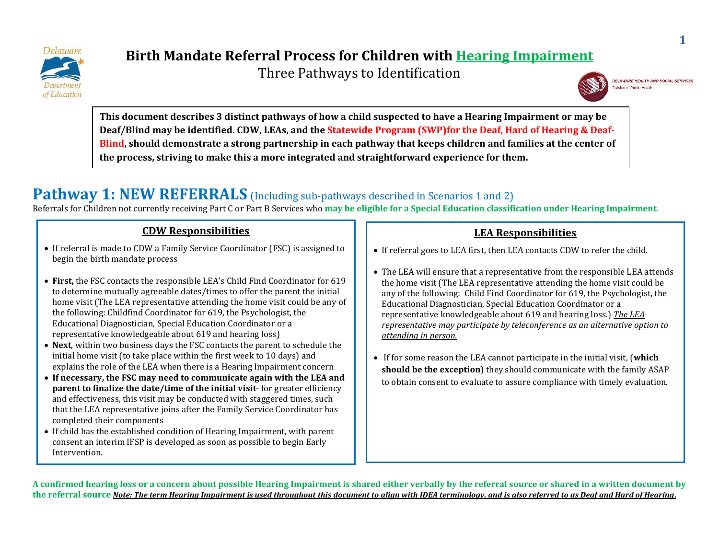

Three Pathways to Identification



**This document describes 3 distinct pathways of how a child suspected to have a Hearing Impairment or may be Deaf/Blind may be identified. CDW, LEAs, and the Statewide Program (SWP)for the Deaf, Hard of Hearing & Deaf-Blind, should demonstrate a strong partnership in each pathway that keeps children and families at the center of the process, striving to make this a more integrated and straightforward experience for them.**

## **Pathway 1: NEW REFERRALS** (Including sub-pathways described in Scenarios 1 and 2)

Referrals for Children not currently receiving Part C or Part B Services who **may be eligible for a Special Education classification under Hearing Impairment**.

#### **CDW Responsibilities**

- If referral is made to CDW a Family Service Coordinator (FSC) is assigned to begin the birth mandate process
- **First,** the FSC contacts the responsible LEA's Child Find Coordinator for 619 to determine mutually agreeable dates/times to offer the parent the initial home visit (The LEA representative attending the home visit could be any of the following: Childfind Coordinator for 619, the Psychologist, the Educational Diagnostician, Special Education Coordinator or a representative knowledgeable about 619 and hearing loss)
- **Next**, within two business days the FSC contacts the parent to schedule the initial home visit (to take place within the first week to 10 days) and explains the role of the LEA when there is a Hearing Impairment concern
- **If necessary, the FSC may need to communicate again with the LEA and parent to finalize the date/time of the initial visit**- for greater efficiency and effectiveness, this visit may be conducted with staggered times, such that the LEA representative joins after the Family Service Coordinator has completed their components
- If child has the established condition of Hearing Impairment, with parent consent an interim IFSP is developed as soon as possible to begin Early Intervention.

#### **LEA Responsibilities**

- If referral goes to LEA first, then LEA contacts CDW to refer the child.
- The LEA will ensure that a representative from the responsible LEA attends the home visit (The LEA representative attending the home visit could be any of the following: Child Find Coordinator for 619, the Psychologist, the Educational Diagnostician, Special Education Coordinator or a representative knowledgeable about 619 and hearing loss.) *The LEA representative may participate by teleconference as an alternative option to attending in person.*
- If for some reason the LEA cannot participate in the initial visit, (**which should be the exception**) they should communicate with the family ASAP to obtain consent to evaluate to assure compliance with timely evaluation.

**A confirmed hearing loss or a concern about possible Hearing Impairment is shared either verbally by the referral source or shared in a written document by the referral source** *Note: The term Hearing Impairment is used throughout this document to align with IDEA terminology, and is also referred to as Deaf and Hard of Hearing.*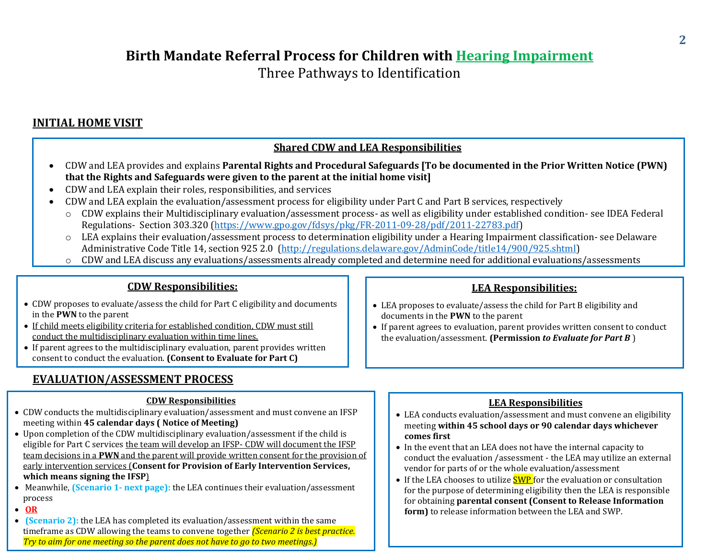Three Pathways to Identification

#### **INITIAL HOME VISIT**

#### **Shared CDW and LEA Responsibilities**

- CDW and LEA provides and explains **Parental Rights and Procedural Safeguards [To be documented in the Prior Written Notice (PWN) that the Rights and Safeguards were given to the parent at the initial home visit]**
- CDW and LEA explain their roles, responsibilities, and services
- CDW and LEA explain the evaluation/assessment process for eligibility under Part C and Part B services, respectively
	- o CDW explains their Multidisciplinary evaluation/assessment process- as well as eligibility under established condition- see IDEA Federal Regulations- Section 303.320 [\(https://www.gpo.gov/fdsys/pkg/FR-2011-09-28/pdf/2011-22783.pdf\)](https://www.gpo.gov/fdsys/pkg/FR-2011-09-28/pdf/2011-22783.pdf)
	- o LEA explains their evaluation/assessment process to determination eligibility under a Hearing Impairment classification- see Delaware Administrative Code Title 14, section 925 2.0 [\(http://regulations.delaware.gov/AdminCode/title14/900/925.shtml\)](http://regulations.delaware.gov/AdminCode/title14/900/925.shtml)
	- o CDW and LEA discuss any evaluations/assessments already completed and determine need for additional evaluations/assessments

#### **CDW Responsibilities:**

- CDW proposes to evaluate/assess the child for Part C eligibility and documents in the **PWN** to the parent
- If child meets eligibility criteria for established condition, CDW must still conduct the multidisciplinary evaluation within time lines.
- If parent agrees to the multidisciplinary evaluation, parent provides written consent to conduct the evaluation. **(Consent to Evaluate for Part C)**

#### **EVALUATION/ASSESSMENT PROCESS** o

#### **CDW Responsibilities**

- CDW conducts the multidisciplinary evaluation/assessment and must convene an IFSP meeting within **45 calendar days ( Notice of Meeting)**
- Upon completion of the CDW multidisciplinary evaluation/assessment if the child is eligible for Part C services the team will develop an IFSP- CDW will document the IFSP team decisions in a **PWN** and the parent will provide written consent for the provision of early intervention services (**Consent for Provision of Early Intervention Services, which means signing the IFSP**)
- Meanwhile, **(Scenario 1- next page):** the LEA continues their evaluation/assessment process
- **OR**
- **(Scenario 2):** the LEA has completed its evaluation/assessment within the same timeframe as CDW allowing the teams to convene together *(Scenario 2 is best practice. Try to aim for one meeting so the parent does not have to go to two meetings.)*

#### **LEA Responsibilities:**

- LEA proposes to evaluate/assess the child for Part B eligibility and documents in the **PWN** to the parent
- If parent agrees to evaluation, parent provides written consent to conduct the evaluation/assessment. **(Permission** *to Evaluate for Part B* )

#### **LEA Responsibilities**

- LEA conducts evaluation/assessment and must convene an eligibility meeting **within 45 school days or 90 calendar days whichever comes first**
- In the event that an LEA does not have the internal capacity to conduct the evaluation /assessment - the LEA may utilize an external vendor for parts of or the whole evaluation/assessment
- $\bullet$  If the LEA chooses to utilize  $SWP$  for the evaluation or consultation for the purpose of determining eligibility then the LEA is responsible for obtaining **parental consent (Consent to Release Information form)** to release information between the LEA and SWP.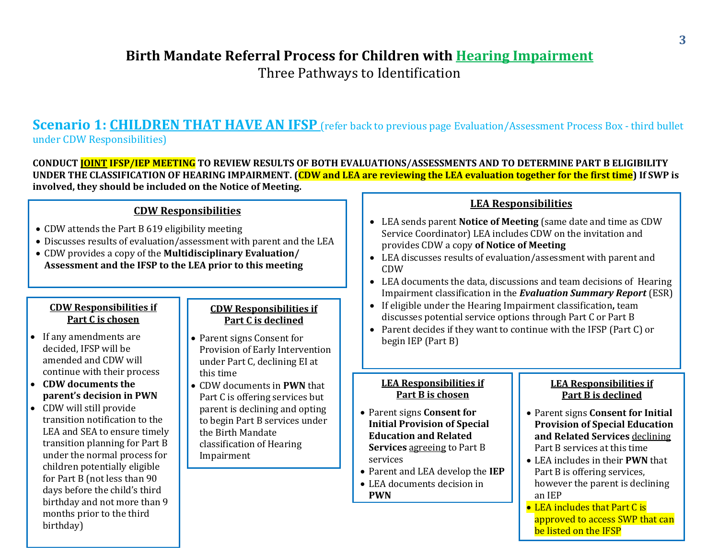Three Pathways to Identification

### **Scenario 1: CHILDREN THAT HAVE AN IFSP** (refer back to previous page Evaluation/Assessment Process Box - third bullet under CDW Responsibilities)

**CONDUCT JOINT IFSP/IEP MEETING TO REVIEW RESULTS OF BOTH EVALUATIONS/ASSESSMENTS AND TO DETERMINE PART B ELIGIBILITY UNDER THE CLASSIFICATION OF HEARING IMPAIRMENT. (CDW and LEA are reviewing the LEA evaluation together for the first time) If SWP is involved, they should be included on the Notice of Meeting.** 

#### **CDW Responsibilities**

- CDW attends the Part B 619 eligibility meeting
- Discusses results of evaluation/assessment with parent and the LEA

i,

 CDW provides a copy of the **Multidisciplinary Evaluation/ Assessment and the IFSP to the LEA prior to this meeting** 

#### **CDW Responsibilities if Part C is chosen**

- If any amendments are decided, IFSP will be amended and CDW will continue with their process
- **CDW documents the parent's decision in PWN**
- CDW will still provide transition notification to the LEA and SEA to ensure timely transition planning for Part B under the normal process for children potentially eligible for Part B (not less than 90 days before the child's third birthday and not more than 9 months prior to the third birthday)

#### **CDW Responsibilities if Part C is declined**

- Parent signs Consent for Provision of Early Intervention under Part C, declining EI at this time
- CDW documents in **PWN** that Part C is offering services but parent is declining and opting to begin Part B services under the Birth Mandate classification of Hearing Impairment

#### **LEA Responsibilities**

- LEA sends parent **Notice of Meeting** (same date and time as CDW Service Coordinator) LEA includes CDW on the invitation and provides CDW a copy **of Notice of Meeting**
- LEA discusses results of evaluation/assessment with parent and CDW
- LEA documents the data, discussions and team decisions of Hearing Impairment classification in the *Evaluation Summary Report* (ESR)
- If eligible under the Hearing Impairment classification**,** team discusses potential service options through Part C or Part B
- Parent decides if they want to continue with the IFSP (Part C) or begin IEP (Part B)

#### **LEA Responsibilities if Part B is chosen**

- Parent signs **Consent for Initial Provision of Special Education and Related Services** agreeing to Part B services
- Parent and LEA develop the **IEP**
- LEA documents decision in **PWN**

#### **LEA Responsibilities if Part B is declined**

- Parent signs **Consent for Initial Provision of Special Education and Related Services** declining Part B services at this time
- LEA includes in their **PWN** that Part B is offering services, however the parent is declining an IEP
- LEA includes that Part C is approved to access SWP that can be listed on the IFSP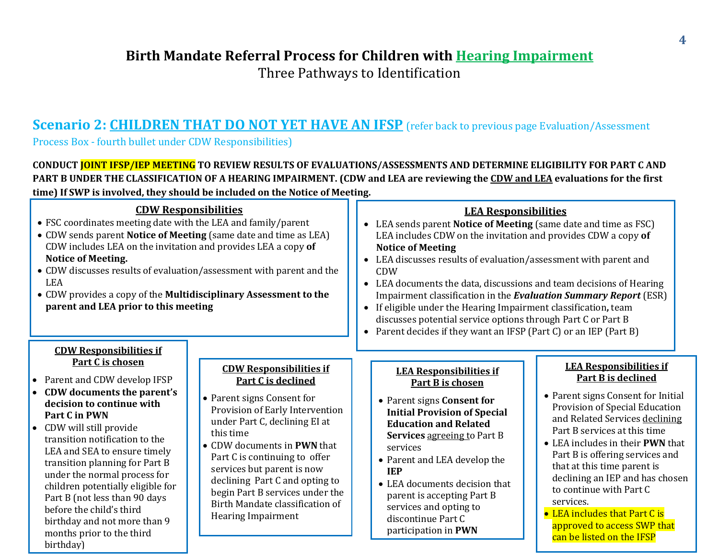Three Pathways to Identification

### **Scenario 2: CHILDREN THAT DO NOT YET HAVE AN IFSP** (refer back to previous page Evaluation/Assessment

Process Box - fourth bullet under CDW Responsibilities)

**CONDUCT JOINT IFSP/IEP MEETING TO REVIEW RESULTS OF EVALUATIONS/ASSESSMENTS AND DETERMINE ELIGIBILITY FOR PART C AND PART B UNDER THE CLASSIFICATION OF A HEARING IMPAIRMENT. (CDW and LEA are reviewing the CDW and LEA evaluations for the first time) If SWP is involved, they should be included on the Notice of Meeting.**

| <b>CDW Responsibilities</b><br>• FSC coordinates meeting date with the LEA and family/parent<br>• CDW sends parent Notice of Meeting (same date and time as LEA)<br>CDW includes LEA on the invitation and provides LEA a copy of<br><b>Notice of Meeting.</b><br>• CDW discusses results of evaluation/assessment with parent and the<br><b>LEA</b><br>• CDW provides a copy of the Multidisciplinary Assessment to the<br>parent and LEA prior to this meeting                                              |                                                                                                                                                                                                                                                                                                                                                                                                        | <b>LEA Responsibilities</b><br>• LEA sends parent Notice of Meeting (same date and time as FSC)<br>LEA includes CDW on the invitation and provides CDW a copy of<br><b>Notice of Meeting</b><br>• LEA discusses results of evaluation/assessment with parent and<br><b>CDW</b><br>• LEA documents the data, discussions and team decisions of Hearing<br>Impairment classification in the Evaluation Summary Report (ESR)<br>• If eligible under the Hearing Impairment classification, team<br>discusses potential service options through Part C or Part B<br>• Parent decides if they want an IFSP (Part C) or an IEP (Part B) |                                                                                                                                                                                                                                                                                                                                                                                                                                                                                     |  |
|---------------------------------------------------------------------------------------------------------------------------------------------------------------------------------------------------------------------------------------------------------------------------------------------------------------------------------------------------------------------------------------------------------------------------------------------------------------------------------------------------------------|--------------------------------------------------------------------------------------------------------------------------------------------------------------------------------------------------------------------------------------------------------------------------------------------------------------------------------------------------------------------------------------------------------|-----------------------------------------------------------------------------------------------------------------------------------------------------------------------------------------------------------------------------------------------------------------------------------------------------------------------------------------------------------------------------------------------------------------------------------------------------------------------------------------------------------------------------------------------------------------------------------------------------------------------------------|-------------------------------------------------------------------------------------------------------------------------------------------------------------------------------------------------------------------------------------------------------------------------------------------------------------------------------------------------------------------------------------------------------------------------------------------------------------------------------------|--|
| <b>CDW Responsibilities if</b><br>Part C is chosen<br>• Parent and CDW develop IFSP<br>• CDW documents the parent's<br>decision to continue with<br>Part C in PWN<br>• CDW will still provide<br>transition notification to the<br>LEA and SEA to ensure timely<br>transition planning for Part B<br>under the normal process for<br>children potentially eligible for<br>Part B (not less than 90 days<br>before the child's third<br>birthday and not more than 9<br>months prior to the third<br>birthday) | <b>CDW Responsibilities if</b><br>Part C is declined<br>• Parent signs Consent for<br>Provision of Early Intervention<br>under Part C, declining EI at<br>this time<br>• CDW documents in PWN that<br>Part C is continuing to offer<br>services but parent is now<br>declining Part C and opting to<br>begin Part B services under the<br>Birth Mandate classification of<br><b>Hearing Impairment</b> | <b>LEA Responsibilities if</b><br>Part B is chosen<br>• Parent signs Consent for<br><b>Initial Provision of Special</b><br><b>Education and Related</b><br><b>Services agreeing to Part B</b><br>services<br>• Parent and LEA develop the<br><b>IEP</b><br>• LEA documents decision that<br>parent is accepting Part B<br>services and opting to<br>discontinue Part C<br>participation in PWN                                                                                                                                                                                                                                    | <b>LEA Responsibilities if</b><br><b>Part B is declined</b><br>• Parent signs Consent for Initial<br>Provision of Special Education<br>and Related Services declining<br>Part B services at this time<br>• LEA includes in their PWN that<br>Part B is offering services and<br>that at this time parent is<br>declining an IEP and has chosen<br>to continue with Part C<br>services.<br>• LEA includes that Part C is<br>approved to access SWP that<br>can be listed on the IFSP |  |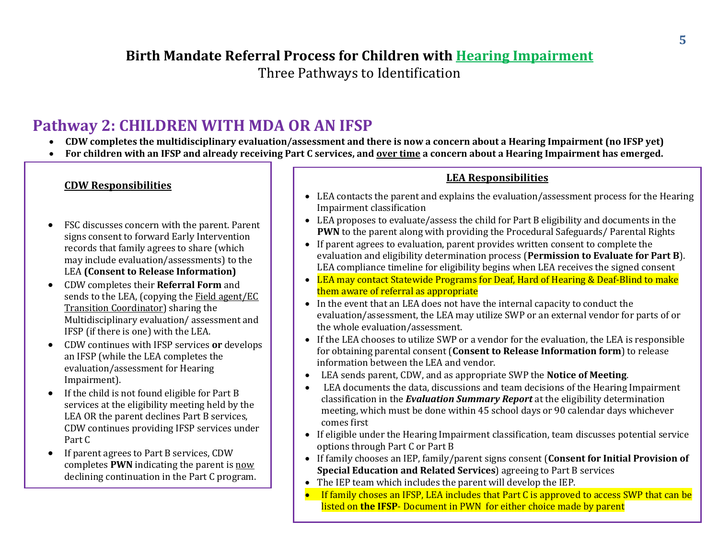Three Pathways to Identification

## **Pathway 2: CHILDREN WITH MDA OR AN IFSP**

- **CDW completes the multidisciplinary evaluation/assessment and there is now a concern about a Hearing Impairment (no IFSP yet)**
- **For children with an IFSP and already receiving Part C services, and over time a concern about a Hearing Impairment has emerged.**

#### **CDW Responsibilities**

- FSC discusses concern with the parent. Parent signs consent to forward Early Intervention records that family agrees to share (which may include evaluation/assessments) to the LEA **(Consent to Release Information)**
- CDW completes their **Referral Form** and sends to the LEA, (copying the Field agent/EC Transition Coordinator) sharing the Multidisciplinary evaluation/ assessment and IFSP (if there is one) with the LEA.
- CDW continues with IFSP services **or** develops an IFSP (while the LEA completes the evaluation/assessment for Hearing Impairment).
- If the child is not found eligible for Part B services at the eligibility meeting held by the LEA OR the parent declines Part B services, CDW continues providing IFSP services under Part C
- If parent agrees to Part B services, CDW completes **PWN** indicating the parent is now declining continuation in the Part C program.

#### **LEA Responsibilities**

- LEA contacts the parent and explains the evaluation/assessment process for the Hearing Impairment classification
- LEA proposes to evaluate/assess the child for Part B eligibility and documents in the **PWN** to the parent along with providing the Procedural Safeguards/ Parental Rights
- If parent agrees to evaluation, parent provides written consent to complete the evaluation and eligibility determination process (**Permission to Evaluate for Part B**). LEA compliance timeline for eligibility begins when LEA receives the signed consent
- LEA may contact Statewide Programs for Deaf, Hard of Hearing & Deaf-Blind to make them aware of referral as appropriate
- In the event that an LEA does not have the internal capacity to conduct the evaluation/assessment, the LEA may utilize SWP or an external vendor for parts of or the whole evaluation/assessment.
- If the LEA chooses to utilize SWP or a vendor for the evaluation, the LEA is responsible for obtaining parental consent (**Consent to Release Information form**) to release information between the LEA and vendor.
- LEA sends parent, CDW, and as appropriate SWP the **Notice of Meeting**.
- LEA documents the data, discussions and team decisions of the Hearing Impairment classification in the *Evaluation Summary Report* at the eligibility determination meeting, which must be done within 45 school days or 90 calendar days whichever comes first
- If eligible under the Hearing Impairment classification, team discusses potential service options through Part C or Part B
- If family chooses an IEP, family/parent signs consent (**Consent for Initial Provision of Special Education and Related Services**) agreeing to Part B services
- The IEP team which includes the parent will develop the IEP.
- **If family choses an IFSP, LEA includes that Part C is approved to access SWP that can be** listed on **the IFSP**- Document in PWN for either choice made by parent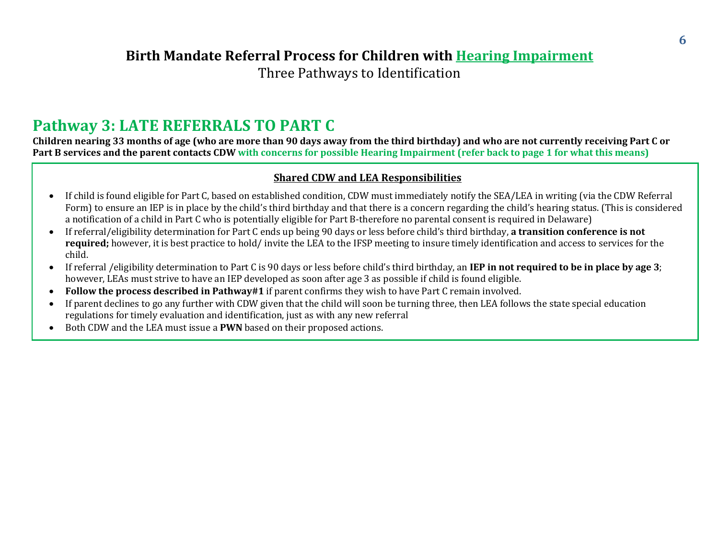Three Pathways to Identification

## **Pathway 3: LATE REFERRALS TO PART C**

**Children nearing 33 months of age (who are more than 90 days away from the third birthday) and who are not currently receiving Part C or Part B services and the parent contacts CDW with concerns for possible Hearing Impairment (refer back to page 1 for what this means)**

#### **Shared CDW and LEA Responsibilities**

- If child is found eligible for Part C, based on established condition, CDW must immediately notify the SEA/LEA in writing (via the CDW Referral Form) to ensure an IEP is in place by the child's third birthday and that there is a concern regarding the child's hearing status. (This is considered a notification of a child in Part C who is potentially eligible for Part B-therefore no parental consent is required in Delaware)
- If referral/eligibility determination for Part C ends up being 90 days or less before child's third birthday, **a transition conference is not required;** however, it is best practice to hold/ invite the LEA to the IFSP meeting to insure timely identification and access to services for the child.
- If referral /eligibility determination to Part C is 90 days or less before child's third birthday, an **IEP in not required to be in place by age 3**; however, LEAs must strive to have an IEP developed as soon after age 3 as possible if child is found eligible.
- **Follow the process described in Pathway#1** if parent confirms they wish to have Part C remain involved.
- If parent declines to go any further with CDW given that the child will soon be turning three, then LEA follows the state special education regulations for timely evaluation and identification, just as with any new referral
- Both CDW and the LEA must issue a **PWN** based on their proposed actions.